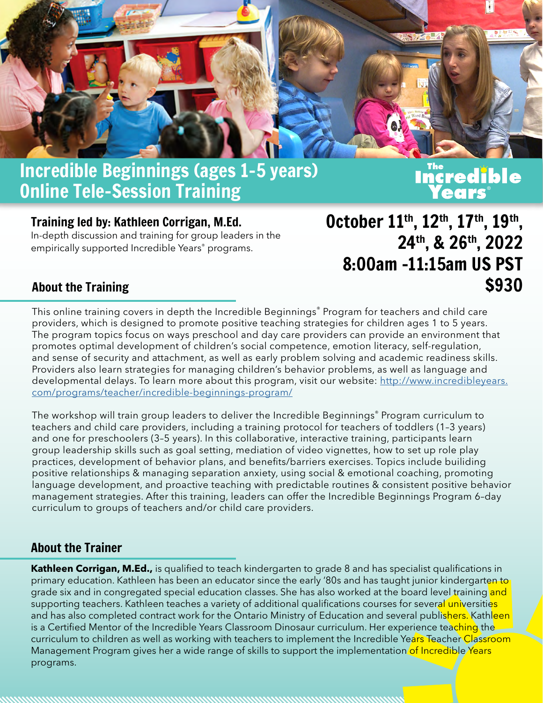

## Incredible Beginnings (ages 1–5 years) Incredible Beginnings (ages 1-5 years) **The Reart of The Magnetic Engineers** on the United<br>Online Tele-Session Training

#### Training led by: Kathleen Corrigan, M.Ed.

In-depth discussion and training for group leaders in the empirically supported Incredible Years® programs.

October 11th, 12th, 17th, 19th , 24th, & 26th, 2022 8:00am -11:15am US PST \$930

#### About the Training

This online training covers in depth the Incredible Beginnings® Program for teachers and child care providers, which is designed to promote positive teaching strategies for children ages 1 to 5 years. The program topics focus on ways preschool and day care providers can provide an environment that promotes optimal development of children's social competence, emotion literacy, self-regulation, and sense of security and attachment, as well as early problem solving and academic readiness skills. Providers also learn strategies for managing children's behavior problems, as well as language and developmental delays. To learn more about this program, visit our website: [http://www.incredibleyears.](http://incredibleyears.com/programs/teacher/incredible-beginnings-program/) [com/programs/teacher/incredible-beginnings-program/](http://incredibleyears.com/programs/teacher/incredible-beginnings-program/)

The workshop will train group leaders to deliver the Incredible Beginnings<sup>®</sup> Program curriculum to teachers and child care providers, including a training protocol for teachers of toddlers (1–3 years) and one for preschoolers (3–5 years). In this collaborative, interactive training, participants learn group leadership skills such as goal setting, mediation of video vignettes, how to set up role play practices, development of behavior plans, and benefits/barriers exercises. Topics include builiding positive relationships & managing separation anxiety, using social & emotional coaching, promoting language development, and proactive teaching with predictable routines & consistent positive behavior management strategies. After this training, leaders can offer the Incredible Beginnings Program 6–day curriculum to groups of teachers and/or child care providers.

### About the Trainer

**Kathleen Corrigan, M.Ed.,** is qualified to teach kindergarten to grade 8 and has specialist qualifications in primary education. Kathleen has been an educator since the early '80s and has taught junior kindergarten to grade six and in congregated special education classes. She has also worked at the board level training and supporting teachers. Kathleen teaches a variety of additional qualifications courses for several universities and has also completed contract work for the Ontario Ministry of Education and several publishers. Kathleen is a Certified Mentor of the Incredible Years Classroom Dinosaur curriculum. Her experience teaching the curriculum to children as well as working with teachers to implement the Incredible Years Teacher Classroom Management Program gives her a wide range of skills to support the implementation of Incredible Years programs.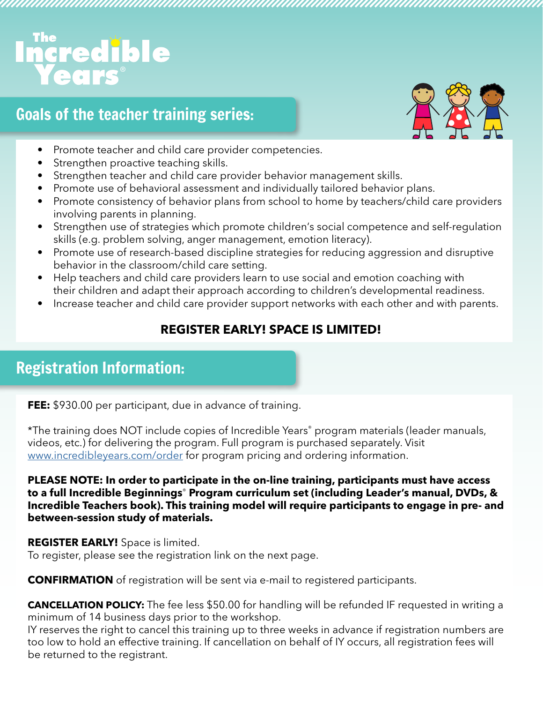# **ncredible**

## Goals of the teacher training series:



- Promote teacher and child care provider competencies.
- Strengthen proactive teaching skills.
- Strengthen teacher and child care provider behavior management skills.
- Promote use of behavioral assessment and individually tailored behavior plans.
- Promote consistency of behavior plans from school to home by teachers/child care providers involving parents in planning.

- Strengthen use of strategies which promote children's social competence and self-regulation skills (e.g. problem solving, anger management, emotion literacy).
- Promote use of research-based discipline strategies for reducing aggression and disruptive behavior in the classroom/child care setting.
- Help teachers and child care providers learn to use social and emotion coaching with their children and adapt their approach according to children's developmental readiness.
- Increase teacher and child care provider support networks with each other and with parents.

### **REGISTER EARLY! SPACE IS LIMITED!**

## Registration Information:

**FEE:** \$930.00 per participant, due in advance of training.

\*The training does NOT include copies of Incredible Years® program materials (leader manuals, videos, etc.) for delivering the program. Full program is purchased separately. Visit [www.incredibleyears.com/order](http://www.incredibleyears.com/order) for program pricing and ordering information.

**PLEASE NOTE: In order to participate in the on-line training, participants must have access to a full Incredible Beginnings**® **Program curriculum set (including Leader's manual, DVDs, & Incredible Teachers book). This training model will require participants to engage in pre- and between-session study of materials.**

**REGISTER EARLY!** Space is limited. To register, please see the registration link on the next page.

**CONFIRMATION** of registration will be sent via e-mail to registered participants.

**CANCELLATION POLICY:** The fee less \$50.00 for handling will be refunded IF requested in writing a minimum of 14 business days prior to the workshop.

IY reserves the right to cancel this training up to three weeks in advance if registration numbers are too low to hold an effective training. If cancellation on behalf of IY occurs, all registration fees will be returned to the registrant.